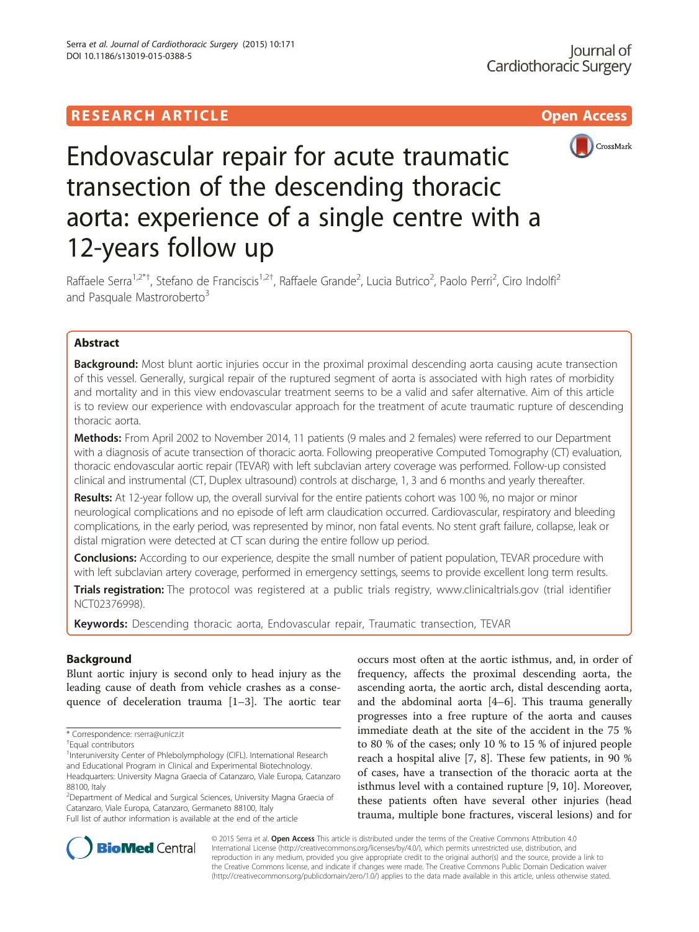

# Endovascular repair for acute traumatic transection of the descending thoracic aorta: experience of a single centre with a 12-years follow up

Raffaele Serra<sup>1,2\*†</sup>, Stefano de Franciscis<sup>1,2†</sup>, Raffaele Grande<sup>2</sup>, Lucia Butrico<sup>2</sup>, Paolo Perri<sup>2</sup>, Ciro Indolfi<sup>2</sup> and Pasquale Mastroroberto<sup>3</sup>

# Abstract

Background: Most blunt aortic injuries occur in the proximal proximal descending aorta causing acute transection of this vessel. Generally, surgical repair of the ruptured segment of aorta is associated with high rates of morbidity and mortality and in this view endovascular treatment seems to be a valid and safer alternative. Aim of this article is to review our experience with endovascular approach for the treatment of acute traumatic rupture of descending thoracic aorta.

Methods: From April 2002 to November 2014, 11 patients (9 males and 2 females) were referred to our Department with a diagnosis of acute transection of thoracic aorta. Following preoperative Computed Tomography (CT) evaluation, thoracic endovascular aortic repair (TEVAR) with left subclavian artery coverage was performed. Follow-up consisted clinical and instrumental (CT, Duplex ultrasound) controls at discharge, 1, 3 and 6 months and yearly thereafter.

Results: At 12-year follow up, the overall survival for the entire patients cohort was 100 %, no major or minor neurological complications and no episode of left arm claudication occurred. Cardiovascular, respiratory and bleeding complications, in the early period, was represented by minor, non fatal events. No stent graft failure, collapse, leak or distal migration were detected at CT scan during the entire follow up period.

**Conclusions:** According to our experience, despite the small number of patient population, TEVAR procedure with with left subclavian artery coverage, performed in emergency settings, seems to provide excellent long term results.

**Trials registration:** The protocol was registered at a public trials registry, [www.clinicaltrials.gov](http://www.clinicaltrials.gov/) (trial identifier [NCT02376998](https://www.clinicaltrials.gov/ct2/show/NCT02376998?term=NCT02376998&rank=1)).

**Keywords:** Descending thoracic aorta, Endovascular repair, Traumatic transection, TEVAR

## Background

Blunt aortic injury is second only to head injury as the leading cause of death from vehicle crashes as a consequence of deceleration trauma [[1](#page-4-0)–[3\]](#page-4-0). The aortic tear

<sup>1</sup>Interuniversity Center of Phlebolymphology (CIFL). International Research and Educational Program in Clinical and Experimental Biotechnology.

<sup>2</sup>Department of Medical and Surgical Sciences, University Magna Graecia of Catanzaro, Viale Europa, Catanzaro, Germaneto 88100, Italy Full list of author information is available at the end of the article

occurs most often at the aortic isthmus, and, in order of frequency, affects the proximal descending aorta, the ascending aorta, the aortic arch, distal descending aorta, and the abdominal aorta [\[4](#page-4-0)–[6\]](#page-4-0). This trauma generally progresses into a free rupture of the aorta and causes immediate death at the site of the accident in the 75 % to 80 % of the cases; only 10 % to 15 % of injured people reach a hospital alive [\[7, 8\]](#page-4-0). These few patients, in 90 % of cases, have a transection of the thoracic aorta at the isthmus level with a contained rupture [\[9](#page-4-0), [10\]](#page-4-0). Moreover, these patients often have several other injuries (head trauma, multiple bone fractures, visceral lesions) and for



© 2015 Serra et al. Open Access This article is distributed under the terms of the Creative Commons Attribution 4.0 International License [\(http://creativecommons.org/licenses/by/4.0/](http://creativecommons.org/licenses/by/4.0/)), which permits unrestricted use, distribution, and reproduction in any medium, provided you give appropriate credit to the original author(s) and the source, provide a link to the Creative Commons license, and indicate if changes were made. The Creative Commons Public Domain Dedication waiver [\(http://creativecommons.org/publicdomain/zero/1.0/](http://creativecommons.org/publicdomain/zero/1.0/)) applies to the data made available in this article, unless otherwise stated.

<sup>\*</sup> Correspondence: [rserra@unicz.it](mailto:rserra@unicz.it) †

Equal contributors

Headquarters: University Magna Graecia of Catanzaro, Viale Europa, Catanzaro 88100, Italy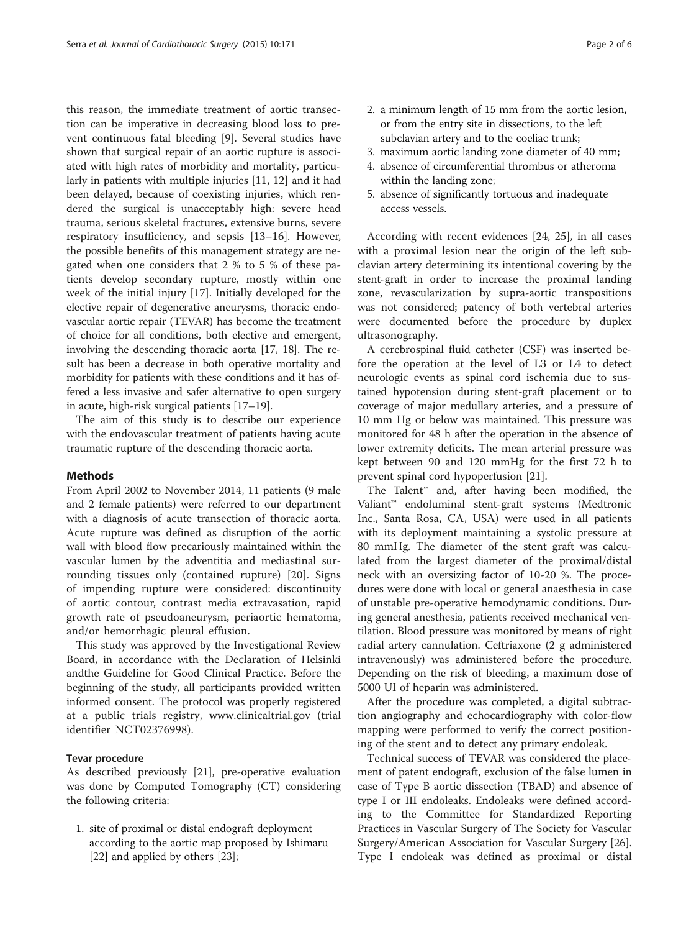this reason, the immediate treatment of aortic transection can be imperative in decreasing blood loss to prevent continuous fatal bleeding [[9\]](#page-4-0). Several studies have shown that surgical repair of an aortic rupture is associated with high rates of morbidity and mortality, particularly in patients with multiple injuries [[11, 12\]](#page-4-0) and it had been delayed, because of coexisting injuries, which rendered the surgical is unacceptably high: severe head trauma, serious skeletal fractures, extensive burns, severe respiratory insufficiency, and sepsis [\[13](#page-4-0)–[16\]](#page-4-0). However, the possible benefits of this management strategy are negated when one considers that 2 % to 5 % of these patients develop secondary rupture, mostly within one week of the initial injury [\[17](#page-4-0)]. Initially developed for the elective repair of degenerative aneurysms, thoracic endovascular aortic repair (TEVAR) has become the treatment of choice for all conditions, both elective and emergent, involving the descending thoracic aorta [\[17, 18](#page-4-0)]. The result has been a decrease in both operative mortality and morbidity for patients with these conditions and it has offered a less invasive and safer alternative to open surgery in acute, high-risk surgical patients [\[17](#page-4-0)–[19](#page-4-0)].

The aim of this study is to describe our experience with the endovascular treatment of patients having acute traumatic rupture of the descending thoracic aorta.

## Methods

From April 2002 to November 2014, 11 patients (9 male and 2 female patients) were referred to our department with a diagnosis of acute transection of thoracic aorta. Acute rupture was defined as disruption of the aortic wall with blood flow precariously maintained within the vascular lumen by the adventitia and mediastinal surrounding tissues only (contained rupture) [[20](#page-4-0)]. Signs of impending rupture were considered: discontinuity of aortic contour, contrast media extravasation, rapid growth rate of pseudoaneurysm, periaortic hematoma, and/or hemorrhagic pleural effusion.

This study was approved by the Investigational Review Board, in accordance with the Declaration of Helsinki andthe Guideline for Good Clinical Practice. Before the beginning of the study, all participants provided written informed consent. The protocol was properly registered at a public trials registry, [www.clinicaltrial.gov](http://www.clinicaltrials.gov) (trial identifier NCT02376998).

## Tevar procedure

As described previously [[21\]](#page-4-0), pre-operative evaluation was done by Computed Tomography (CT) considering the following criteria:

1. site of proximal or distal endograft deployment according to the aortic map proposed by Ishimaru [\[22](#page-4-0)] and applied by others [\[23\]](#page-5-0);

- 2. a minimum length of 15 mm from the aortic lesion, or from the entry site in dissections, to the left subclavian artery and to the coeliac trunk;
- 3. maximum aortic landing zone diameter of 40 mm;
- 4. absence of circumferential thrombus or atheroma within the landing zone;
- 5. absence of significantly tortuous and inadequate access vessels.

According with recent evidences [[24, 25\]](#page-5-0), in all cases with a proximal lesion near the origin of the left subclavian artery determining its intentional covering by the stent-graft in order to increase the proximal landing zone, revascularization by supra-aortic transpositions was not considered; patency of both vertebral arteries were documented before the procedure by duplex ultrasonography.

A cerebrospinal fluid catheter (CSF) was inserted before the operation at the level of L3 or L4 to detect neurologic events as spinal cord ischemia due to sustained hypotension during stent-graft placement or to coverage of major medullary arteries, and a pressure of 10 mm Hg or below was maintained. This pressure was monitored for 48 h after the operation in the absence of lower extremity deficits. The mean arterial pressure was kept between 90 and 120 mmHg for the first 72 h to prevent spinal cord hypoperfusion [\[21](#page-4-0)].

The Talent™ and, after having been modified, the Valiant™ endoluminal stent-graft systems (Medtronic Inc., Santa Rosa, CA, USA) were used in all patients with its deployment maintaining a systolic pressure at 80 mmHg. The diameter of the stent graft was calculated from the largest diameter of the proximal/distal neck with an oversizing factor of 10-20 %. The procedures were done with local or general anaesthesia in case of unstable pre-operative hemodynamic conditions. During general anesthesia, patients received mechanical ventilation. Blood pressure was monitored by means of right radial artery cannulation. Ceftriaxone (2 g administered intravenously) was administered before the procedure. Depending on the risk of bleeding, a maximum dose of 5000 UI of heparin was administered.

After the procedure was completed, a digital subtraction angiography and echocardiography with color-flow mapping were performed to verify the correct positioning of the stent and to detect any primary endoleak.

Technical success of TEVAR was considered the placement of patent endograft, exclusion of the false lumen in case of Type B aortic dissection (TBAD) and absence of type I or III endoleaks. Endoleaks were defined according to the Committee for Standardized Reporting Practices in Vascular Surgery of The Society for Vascular Surgery/American Association for Vascular Surgery [\[26](#page-5-0)]. Type I endoleak was defined as proximal or distal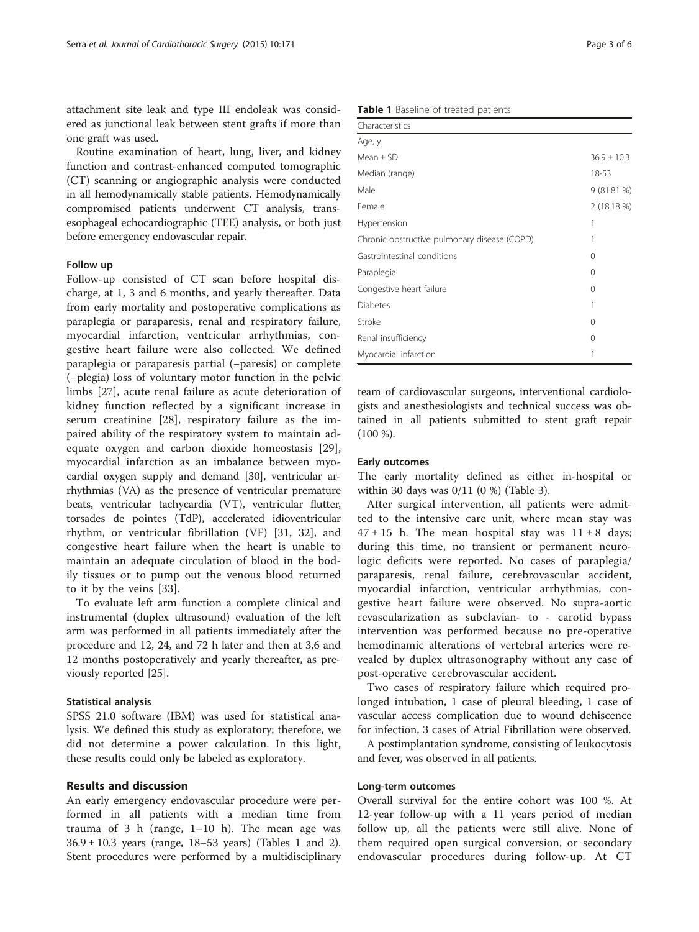attachment site leak and type III endoleak was considered as junctional leak between stent grafts if more than one graft was used.

Routine examination of heart, lung, liver, and kidney function and contrast-enhanced computed tomographic (CT) scanning or angiographic analysis were conducted in all hemodynamically stable patients. Hemodynamically compromised patients underwent CT analysis, transesophageal echocardiographic (TEE) analysis, or both just before emergency endovascular repair.

## Follow up

Follow-up consisted of CT scan before hospital discharge, at 1, 3 and 6 months, and yearly thereafter. Data from early mortality and postoperative complications as paraplegia or paraparesis, renal and respiratory failure, myocardial infarction, ventricular arrhythmias, congestive heart failure were also collected. We defined paraplegia or paraparesis partial (−paresis) or complete (−plegia) loss of voluntary motor function in the pelvic limbs [\[27](#page-5-0)], acute renal failure as acute deterioration of kidney function reflected by a significant increase in serum creatinine [[28\]](#page-5-0), respiratory failure as the impaired ability of the respiratory system to maintain adequate oxygen and carbon dioxide homeostasis [\[29](#page-5-0)], myocardial infarction as an imbalance between myocardial oxygen supply and demand [[30](#page-5-0)], ventricular arrhythmias (VA) as the presence of ventricular premature beats, ventricular tachycardia (VT), ventricular flutter, torsades de pointes (TdP), accelerated idioventricular rhythm, or ventricular fibrillation (VF) [[31, 32](#page-5-0)], and congestive heart failure when the heart is unable to maintain an adequate circulation of blood in the bodily tissues or to pump out the venous blood returned to it by the veins [[33\]](#page-5-0).

To evaluate left arm function a complete clinical and instrumental (duplex ultrasound) evaluation of the left arm was performed in all patients immediately after the procedure and 12, 24, and 72 h later and then at 3,6 and 12 months postoperatively and yearly thereafter, as previously reported [[25\]](#page-5-0).

#### Statistical analysis

SPSS 21.0 software (IBM) was used for statistical analysis. We defined this study as exploratory; therefore, we did not determine a power calculation. In this light, these results could only be labeled as exploratory.

## Results and discussion

An early emergency endovascular procedure were performed in all patients with a median time from trauma of 3 h (range, 1–10 h). The mean age was  $36.9 \pm 10.3$  years (range, 18–53 years) (Tables 1 and [2](#page-3-0)). Stent procedures were performed by a multidisciplinary

| Characteristics                              |                 |
|----------------------------------------------|-----------------|
| Age, y                                       |                 |
| Mean $\pm$ SD                                | $36.9 \pm 10.3$ |
| Median (range)                               | 18-53           |
| Male                                         | 9(81.81%        |
| Female                                       | 2(18.18%)       |
| Hypertension                                 | 1               |
| Chronic obstructive pulmonary disease (COPD) | 1               |
| Gastrointestinal conditions                  | 0               |
| Paraplegia                                   | 0               |
| Congestive heart failure                     | 0               |
| <b>Diabetes</b>                              |                 |
| Stroke                                       | 0               |
| Renal insufficiency                          | 0               |
| Myocardial infarction                        |                 |

team of cardiovascular surgeons, interventional cardiologists and anesthesiologists and technical success was obtained in all patients submitted to stent graft repair (100 %).

#### Early outcomes

The early mortality defined as either in-hospital or within 30 days was 0/11 (0 %) (Table [3\)](#page-3-0).

After surgical intervention, all patients were admitted to the intensive care unit, where mean stay was  $47 \pm 15$  h. The mean hospital stay was  $11 \pm 8$  days; during this time, no transient or permanent neurologic deficits were reported. No cases of paraplegia/ paraparesis, renal failure, cerebrovascular accident, myocardial infarction, ventricular arrhythmias, congestive heart failure were observed. No supra-aortic revascularization as subclavian- to - carotid bypass intervention was performed because no pre-operative hemodinamic alterations of vertebral arteries were revealed by duplex ultrasonography without any case of post-operative cerebrovascular accident.

Two cases of respiratory failure which required prolonged intubation, 1 case of pleural bleeding, 1 case of vascular access complication due to wound dehiscence for infection, 3 cases of Atrial Fibrillation were observed.

A postimplantation syndrome, consisting of leukocytosis and fever, was observed in all patients.

## Long-term outcomes

Overall survival for the entire cohort was 100 %. At 12-year follow-up with a 11 years period of median follow up, all the patients were still alive. None of them required open surgical conversion, or secondary endovascular procedures during follow-up. At CT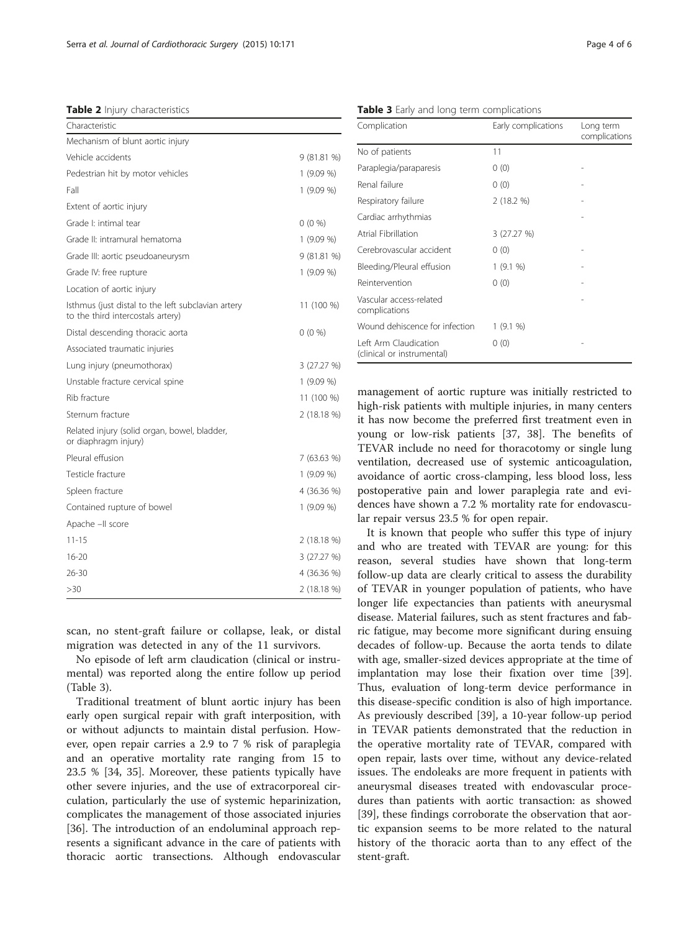#### <span id="page-3-0"></span>Table 2 Injury characteristics

| Characteristic                                                                          |              |
|-----------------------------------------------------------------------------------------|--------------|
| Mechanism of blunt aortic injury                                                        |              |
| Vehicle accidents                                                                       | 9 (81.81 %)  |
| Pedestrian hit by motor vehicles                                                        | 1(9.09%      |
| Fall                                                                                    | $1(9.09\%)$  |
| Extent of aortic injury                                                                 |              |
| Grade I: intimal tear                                                                   | $0(0\%)$     |
| Grade II: intramural hematoma                                                           | 1(9.09%      |
| Grade III: aortic pseudoaneurysm                                                        | 9 (81.81 %)  |
| Grade IV: free rupture                                                                  | 1(9.09%      |
| Location of aortic injury                                                               |              |
| Isthmus (just distal to the left subclavian artery<br>to the third intercostals artery) | 11 (100 %)   |
| Distal descending thoracic aorta                                                        | $0(0\%)$     |
| Associated traumatic injuries                                                           |              |
| Lung injury (pneumothorax)                                                              | 3 (27.27 %)  |
| Unstable fracture cervical spine                                                        | $1(9.09\%)$  |
| Rib fracture                                                                            | 11 (100 %)   |
| Sternum fracture                                                                        | 2 (18.18 %)  |
| Related injury (solid organ, bowel, bladder,<br>or diaphragm injury)                    |              |
| Pleural effusion                                                                        | 7(63.63%)    |
| Testicle fracture                                                                       | $1(9.09\%)$  |
| Spleen fracture                                                                         | 4 (36.36 %)  |
| Contained rupture of bowel                                                              | $1(9.09\%)$  |
| Apache -II score                                                                        |              |
| $11 - 15$                                                                               | $2(18.18\%)$ |
| $16 - 20$                                                                               | 3(27.27%)    |
| $26 - 30$                                                                               | 4 (36.36 %)  |
| >30                                                                                     | 2 (18.18 %)  |

scan, no stent-graft failure or collapse, leak, or distal migration was detected in any of the 11 survivors.

No episode of left arm claudication (clinical or instrumental) was reported along the entire follow up period (Table 3).

Traditional treatment of blunt aortic injury has been early open surgical repair with graft interposition, with or without adjuncts to maintain distal perfusion. However, open repair carries a 2.9 to 7 % risk of paraplegia and an operative mortality rate ranging from 15 to 23.5 % [[34, 35\]](#page-5-0). Moreover, these patients typically have other severe injuries, and the use of extracorporeal circulation, particularly the use of systemic heparinization, complicates the management of those associated injuries [[36\]](#page-5-0). The introduction of an endoluminal approach represents a significant advance in the care of patients with thoracic aortic transections. Although endovascular

Table 3 Early and long term complications

| Complication                                        | Early complications | Long term<br>complications |
|-----------------------------------------------------|---------------------|----------------------------|
| No of patients                                      | 11                  |                            |
| Paraplegia/paraparesis                              | 0(0)                |                            |
| Renal failure                                       | 0(0)                |                            |
| Respiratory failure                                 | 2(18.2%)            |                            |
| Cardiac arrhythmias                                 |                     |                            |
| Atrial Fibrillation                                 | 3(27.27%)           |                            |
| Cerebrovascular accident                            | 0(0)                |                            |
| Bleeding/Pleural effusion                           | 1(9.1%              |                            |
| Reintervention                                      | 0(0)                |                            |
| Vascular access-related<br>complications            |                     |                            |
| Wound dehiscence for infection                      | 1(9.1%              |                            |
| Left Arm Claudication<br>(clinical or instrumental) | 0(0)                |                            |

management of aortic rupture was initially restricted to high-risk patients with multiple injuries, in many centers it has now become the preferred first treatment even in young or low-risk patients [\[37](#page-5-0), [38](#page-5-0)]. The benefits of TEVAR include no need for thoracotomy or single lung ventilation, decreased use of systemic anticoagulation, avoidance of aortic cross-clamping, less blood loss, less postoperative pain and lower paraplegia rate and evidences have shown a 7.2 % mortality rate for endovascular repair versus 23.5 % for open repair.

It is known that people who suffer this type of injury and who are treated with TEVAR are young: for this reason, several studies have shown that long-term follow-up data are clearly critical to assess the durability of TEVAR in younger population of patients, who have longer life expectancies than patients with aneurysmal disease. Material failures, such as stent fractures and fabric fatigue, may become more significant during ensuing decades of follow-up. Because the aorta tends to dilate with age, smaller-sized devices appropriate at the time of implantation may lose their fixation over time [\[39](#page-5-0)]. Thus, evaluation of long-term device performance in this disease-specific condition is also of high importance. As previously described [[39](#page-5-0)], a 10-year follow-up period in TEVAR patients demonstrated that the reduction in the operative mortality rate of TEVAR, compared with open repair, lasts over time, without any device-related issues. The endoleaks are more frequent in patients with aneurysmal diseases treated with endovascular procedures than patients with aortic transaction: as showed [[39\]](#page-5-0), these findings corroborate the observation that aortic expansion seems to be more related to the natural history of the thoracic aorta than to any effect of the stent-graft.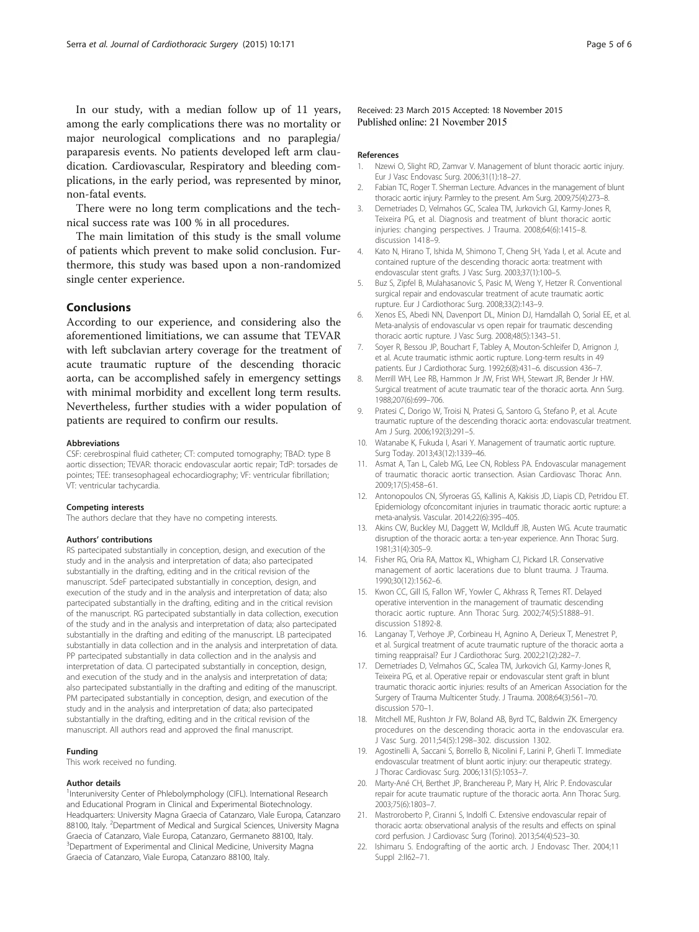<span id="page-4-0"></span>In our study, with a median follow up of 11 years, among the early complications there was no mortality or major neurological complications and no paraplegia/ paraparesis events. No patients developed left arm claudication. Cardiovascular, Respiratory and bleeding complications, in the early period, was represented by minor, non-fatal events.

There were no long term complications and the technical success rate was 100 % in all procedures.

The main limitation of this study is the small volume of patients which prevent to make solid conclusion. Furthermore, this study was based upon a non-randomized single center experience.

## Conclusions

According to our experience, and considering also the aforementioned limitiations, we can assume that TEVAR with left subclavian artery coverage for the treatment of acute traumatic rupture of the descending thoracic aorta, can be accomplished safely in emergency settings with minimal morbidity and excellent long term results. Nevertheless, further studies with a wider population of patients are required to confirm our results.

#### Abbreviations

CSF: cerebrospinal fluid catheter; CT: computed tomography; TBAD: type B aortic dissection; TEVAR: thoracic endovascular aortic repair; TdP: torsades de pointes; TEE: transesophageal echocardiography; VF: ventricular fibrillation; VT: ventricular tachycardia.

#### Competing interests

The authors declare that they have no competing interests.

#### Authors' contributions

RS partecipated substantially in conception, design, and execution of the study and in the analysis and interpretation of data; also partecipated substantially in the drafting, editing and in the critical revision of the manuscript. SdeF partecipated substantially in conception, design, and execution of the study and in the analysis and interpretation of data; also partecipated substantially in the drafting, editing and in the critical revision of the manuscript. RG partecipated substantially in data collection, execution of the study and in the analysis and interpretation of data; also partecipated substantially in the drafting and editing of the manuscript. LB partecipated substantially in data collection and in the analysis and interpretation of data. PP partecipated substantially in data collection and in the analysis and interpretation of data. CI partecipated substantially in conception, design, and execution of the study and in the analysis and interpretation of data; also partecipated substantially in the drafting and editing of the manuscript. PM partecipated substantially in conception, design, and execution of the study and in the analysis and interpretation of data; also partecipated substantially in the drafting, editing and in the critical revision of the manuscript. All authors read and approved the final manuscript.

## Funding

This work received no funding.

#### Author details

<sup>1</sup>Interuniversity Center of Phlebolymphology (CIFL). International Research and Educational Program in Clinical and Experimental Biotechnology. Headquarters: University Magna Graecia of Catanzaro, Viale Europa, Catanzaro 88100, Italy. <sup>2</sup>Department of Medical and Surgical Sciences, University Magna Graecia of Catanzaro, Viale Europa, Catanzaro, Germaneto 88100, Italy. <sup>3</sup>Department of Experimental and Clinical Medicine, University Magna Graecia of Catanzaro, Viale Europa, Catanzaro 88100, Italy.

Received: 23 March 2015 Accepted: 18 November 2015 Published online: 21 November 2015

#### References

- 1. Nzewi O, Slight RD, Zamvar V. Management of blunt thoracic aortic injury. Eur J Vasc Endovasc Surg. 2006;31(1):18–27.
- 2. Fabian TC, Roger T, Sherman Lecture. Advances in the management of blunt thoracic aortic injury: Parmley to the present. Am Surg. 2009;75(4):273–8.
- 3. Demetriades D, Velmahos GC, Scalea TM, Jurkovich GJ, Karmy-Jones R, Teixeira PG, et al. Diagnosis and treatment of blunt thoracic aortic injuries: changing perspectives. J Trauma. 2008;64(6):1415–8. discussion 1418–9.
- 4. Kato N, Hirano T, Ishida M, Shimono T, Cheng SH, Yada I, et al. Acute and contained rupture of the descending thoracic aorta: treatment with endovascular stent grafts. J Vasc Surg. 2003;37(1):100–5.
- 5. Buz S, Zipfel B, Mulahasanovic S, Pasic M, Weng Y, Hetzer R. Conventional surgical repair and endovascular treatment of acute traumatic aortic rupture. Eur J Cardiothorac Surg. 2008;33(2):143–9.
- 6. Xenos ES, Abedi NN, Davenport DL, Minion DJ, Hamdallah O, Sorial EE, et al. Meta-analysis of endovascular vs open repair for traumatic descending thoracic aortic rupture. J Vasc Surg. 2008;48(5):1343–51.
- 7. Soyer R, Bessou JP, Bouchart F, Tabley A, Mouton-Schleifer D, Arrignon J, et al. Acute traumatic isthmic aortic rupture. Long-term results in 49 patients. Eur J Cardiothorac Surg. 1992;6(8):431–6. discussion 436–7.
- 8. Merrill WH, Lee RB, Hammon Jr JW, Frist WH, Stewart JR, Bender Jr HW. Surgical treatment of acute traumatic tear of the thoracic aorta. Ann Surg. 1988;207(6):699–706.
- 9. Pratesi C, Dorigo W, Troisi N, Pratesi G, Santoro G, Stefano P, et al. Acute traumatic rupture of the descending thoracic aorta: endovascular treatment. Am J Surg. 2006;192(3):291–5.
- 10. Watanabe K, Fukuda I, Asari Y. Management of traumatic aortic rupture. Surg Today. 2013;43(12):1339–46.
- 11. Asmat A, Tan L, Caleb MG, Lee CN, Robless PA. Endovascular management of traumatic thoracic aortic transection. Asian Cardiovasc Thorac Ann. 2009;17(5):458–61.
- 12. Antonopoulos CN, Sfyroeras GS, Kallinis A, Kakisis JD, Liapis CD, Petridou ET. Epidemiology ofconcomitant injuries in traumatic thoracic aortic rupture: a meta-analysis. Vascular. 2014;22(6):395–405.
- 13. Akins CW, Buckley MJ, Daggett W, McIlduff JB, Austen WG. Acute traumatic disruption of the thoracic aorta: a ten-year experience. Ann Thorac Surg. 1981;31(4):305–9.
- 14. Fisher RG, Oria RA, Mattox KL, Whigham CJ, Pickard LR. Conservative management of aortic lacerations due to blunt trauma. J Trauma. 1990;30(12):1562–6.
- 15. Kwon CC, Gill IS, Fallon WF, Yowler C, Akhrass R, Temes RT. Delayed operative intervention in the management of traumatic descending thoracic aortic rupture. Ann Thorac Surg. 2002;74(5):S1888–91. discussion S1892-8.
- 16. Langanay T, Verhoye JP, Corbineau H, Agnino A, Derieux T, Menestret P, et al. Surgical treatment of acute traumatic rupture of the thoracic aorta a timing reappraisal? Eur J Cardiothorac Surg. 2002;21(2):282–7.
- 17. Demetriades D, Velmahos GC, Scalea TM, Jurkovich GJ, Karmy-Jones R, Teixeira PG, et al. Operative repair or endovascular stent graft in blunt traumatic thoracic aortic injuries: results of an American Association for the Surgery of Trauma Multicenter Study. J Trauma. 2008;64(3):561–70. discussion 570–1.
- 18. Mitchell ME, Rushton Jr FW, Boland AB, Byrd TC, Baldwin ZK. Emergency procedures on the descending thoracic aorta in the endovascular era. J Vasc Surg. 2011;54(5):1298–302. discussion 1302.
- 19. Agostinelli A, Saccani S, Borrello B, Nicolini F, Larini P, Gherli T. Immediate endovascular treatment of blunt aortic injury: our therapeutic strategy. J Thorac Cardiovasc Surg. 2006;131(5):1053–7.
- 20. Marty-Ané CH, Berthet JP, Branchereau P, Mary H, Alric P. Endovascular repair for acute traumatic rupture of the thoracic aorta. Ann Thorac Surg. 2003;75(6):1803–7.
- 21. Mastroroberto P, Ciranni S, Indolfi C. Extensive endovascular repair of thoracic aorta: observational analysis of the results and effects on spinal cord perfusion. J Cardiovasc Surg (Torino). 2013;54(4):523–30.
- 22. Ishimaru S. Endografting of the aortic arch. J Endovasc Ther. 2004;11 Suppl 2:II62–71.